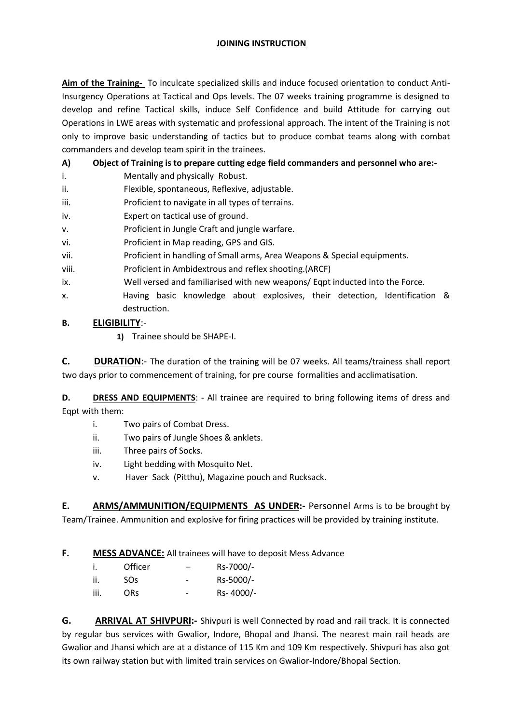#### **JOINING INSTRUCTION**

**Aim of the Training-** To inculcate specialized skills and induce focused orientation to conduct Anti-Insurgency Operations at Tactical and Ops levels. The 07 weeks training programme is designed to develop and refine Tactical skills, induce Self Confidence and build Attitude for carrying out Operations in LWE areas with systematic and professional approach. The intent of the Training is not only to improve basic understanding of tactics but to produce combat teams along with combat commanders and develop team spirit in the trainees.

### **A) Object of Training is to prepare cutting edge field commanders and personnel who are:-**

- i. Mentally and physically Robust.
- ii. Flexible, spontaneous, Reflexive, adjustable.
- iii. Proficient to navigate in all types of terrains.
- iv. Expert on tactical use of ground.
- v. Proficient in Jungle Craft and jungle warfare.
- vi. Proficient in Map reading, GPS and GIS.
- vii. Proficient in handling of Small arms, Area Weapons & Special equipments.
- viii. Proficient in Ambidextrous and reflex shooting.(ARCF)
- ix. Well versed and familiarised with new weapons/ Eqpt inducted into the Force.
- x. Having basic knowledge about explosives, their detection, Identification & destruction.

### **B. ELIGIBILITY**:-

**1)** Trainee should be SHAPE-I.

**C. DURATION**:- The duration of the training will be 07 weeks. All teams/trainess shall report two days prior to commencement of training, for pre course formalities and acclimatisation.

**D. DRESS AND EQUIPMENTS**: - All trainee are required to bring following items of dress and Eqpt with them:

- i. Two pairs of Combat Dress.
- ii. Two pairs of Jungle Shoes & anklets.
- iii. Three pairs of Socks.
- iv. Light bedding with Mosquito Net.
- v. Haver Sack (Pitthu), Magazine pouch and Rucksack.

**E. ARMS/AMMUNITION/EQUIPMENTS AS UNDER:-** Personnel Arms is to be brought by Team/Trainee. Ammunition and explosive for firing practices will be provided by training institute.

## **F. MESS ADVANCE:** All trainees will have to deposit Mess Advance

|      | Officer | -                            | Rs-7000/- |
|------|---------|------------------------------|-----------|
| ii.  | SOs.    | $\overline{\phantom{0}}$     | Rs-5000/- |
| iii. | ORs.    | $\qquad \qquad \blacksquare$ | Rs-4000/- |

**G. ARRIVAL AT SHIVPURI:-** Shivpuri is well Connected by road and rail track. It is connected by regular bus services with Gwalior, Indore, Bhopal and Jhansi. The nearest main rail heads are Gwalior and Jhansi which are at a distance of 115 Km and 109 Km respectively. Shivpuri has also got its own railway station but with limited train services on Gwalior-Indore/Bhopal Section.